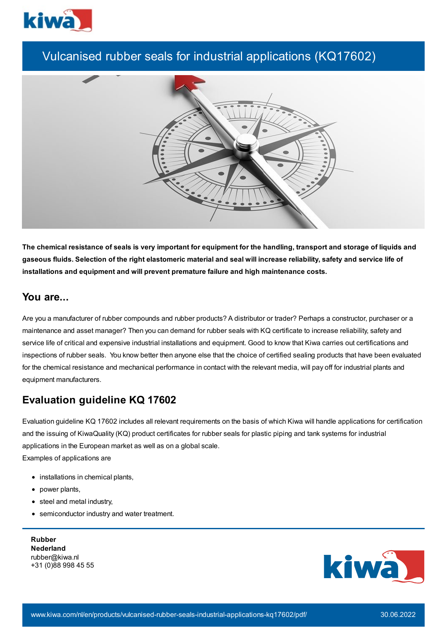

# Vulcanised rubber seals for industrial applications (KQ17602)



The chemical resistance of seals is very important for equipment for the handling, transport and storage of liquids and gaseous fluids. Selection of the right elastomeric material and seal will increase reliability, safety and service life of **installations and equipment and will prevent premature failure and high maintenance costs.**

### **You are...**

Are you a manufacturer of rubber compounds and rubber products? A distributor or trader? Perhaps a constructor, purchaser or a maintenance and asset manager? Then you can demand for rubber seals with KQ certificate to increase reliability, safety and service life of critical and expensive industrial installations and equipment. Good to know that Kiwa carries out certifications and inspections of rubber seals. You know better then anyone else that the choice of certified sealing products that have been evaluated for the chemical resistance and mechanical performance in contact with the relevant media, will pay off for industrial plants and equipment manufacturers.

## **Evaluation guideline KQ 17602**

Evaluation guideline KQ 17602 includes all relevant requirements on the basis of which Kiwa will handle applications for certification and the issuing of KiwaQuality (KQ) product certificates for rubber seals for plastic piping and tank systems for industrial applications in the European market as well as on a global scale. Examples of applications are

- installations in chemical plants,
- power plants,
- steel and metal industry,
- semiconductor industry and water treatment.

**Rubber Nederland** rubber@kiwa.nl +31 (0)88 998 45 55